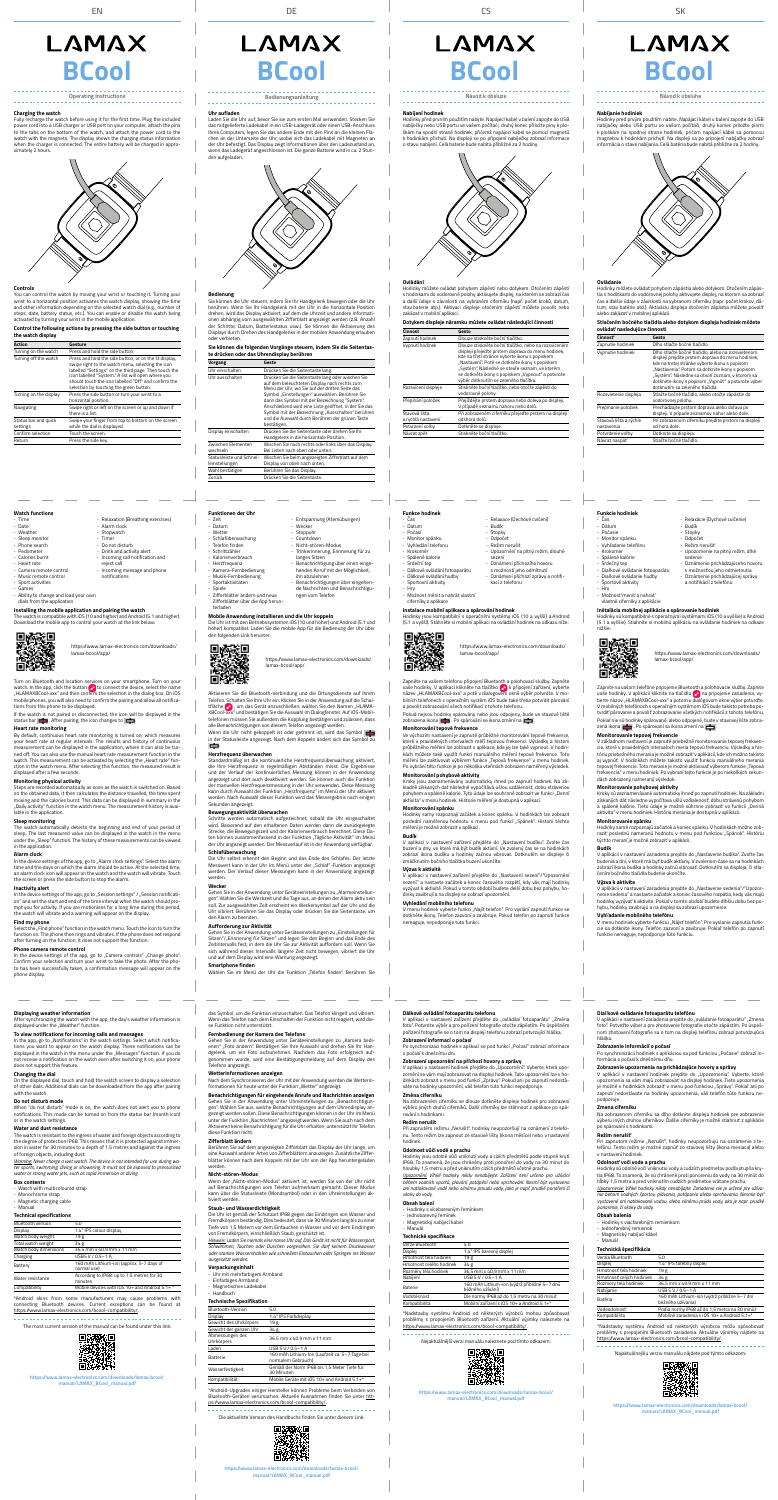

# **Charging the watch**<br>Fully recharge the wat



Operating Instructions Bedienungsanleitung Návod k obsluze Návod k obsluhe

**Funkce hodinek** - Čas - Datum - Počasí Monitor spánku - Vyhledání telefonu - Krokoměr - Spálené kalorie - Srdeční tep - Dálkové ovládání fotoaparátu - Dálkové ovládání hudby Sportovní aktivity - Hry

- Možnost měnit a nahrát vlastní ciferníky z aplikace

**Instalace mobilní aplikace a spárování hodinek**<br>Hodinky jsou kompatibilní s operačními systémy iOS (10 a vyšší) a Android<br>(5.1 a vyšší). Stáhněte si mobilní aplikaci na ovládání hodinek na odkazu níže:

# - Relaxace (Dechové cvičení) - Budík - Stopky - Odpočet - Režim nerušit - Upozornění na pitný režim, dlouhé sezení - Oznámení příchozího hovoru s možností jeho odmítnutí - Oznámení příchozí zprávy a notifi-

kací z telefonu

Zapněte na vašem telefonu připojení Bluetooth a polohovací služby. Zapněte<br>vaše hodinky. V aplikaci klikněte na tlačítko v k připojení zařízení, vyberte<br>název "HLAMAXBCool-xxx" a poté v dialogovém okně výběr potvrdte. V m a povolit zobrazování všech notifikací z tohoto telefonu.

https://www.lamax-electronics.com/downloads/ lamax-bcool/app/

**Monitorování tepové frekvence**<br>Ve výchozím nastavení je zapnuté průběžné monitorování tepové frekvence, které v pravidelných intervalech měří tepovou frekvenci. Výsledky a historii průběžného měření lze zobrazit v aplikace, kde jej lze také vypnout. V hodinkách můžete také využít funkci manuálního měření tepové frekvence. Toto<br>měření lze zaktivovat výběrem funkce "Tepová frekvence" v menu hodinek. Po vybrání této funkce je po několika vteřinách zobrazen naměřený výsledek.

**Monitorování pohybové aktivity**<br>Kroky jsou zaznamenávány automaticky ihned po zapnutí hodinek. Na zá-<br>kladně získaných dat následně vypočítává ušlou vzdálenost, dobu strávenou<br>pohybem a spálené kalorie. Tyto údaje lze sou aktivita" v menu hodinek. Historie měření je dostupná v aplikaci. **Monitorování spánku**

Pokud nejsou hodinky spárovány nebo jsou odpojeny, bude ve stavové liště zobrazena ikona . Po spárování se ikona změní na .

<sup>.</sup> začátek a konec čas vyzývat k aktivitě. Pokud v tomto období budete delší dobu bez pohybu, hodinky zavibrují a na displeji se zobrazí upozornění.

V menu hodinek vyberte funkci "Najít telefon". Pro vyslání zapnutí funkce se dotkněte ikony. Telefon zazvoní a zavibruje. Pokud telefon po zapnutí funkce nereaguje, nepodporuje tuto funkci.

Zifferblätter ändern und neue Zifferblätter über die App herun-

> Hodinky samy rozpoznají začátek a konec spánku. V hodinkách lze zobrazit poslední naměřenou hodnotu v menu pod funkcí "Spánek". Historii těchto měření je možné zobrazit v aplikaci.

Aktivieren Sie die Bluetooth-Verbindung und die Ortungsdienste auf Ihrem<br>Telefon. Schalten Sie Ihre Uhr ein. Klicken Sie in der Anwendung auf die Schal-<br>tfläche <mark>(C</mark>), um das Gerät anzuschließen, wählen Sie den Namen "HLAM XBCool-xxx" und bestätigen Sie die Auswahl im Dialogfenster. Auf iOS-Mobil-<br>telefonen müssen Sie außerdem die Kopplung bestätigen und zulassen, dass<br>alle Benachrichtigungen von diesem Telefon angezeigt werden. Wenn die Uhr nicht gekoppelt ist oder getrennt ist, wird das Symbol in der Statusleiste angezeigt. Nach dem Koppeln ändert sich das Symbol zu

**Herzfrequenz überwachen**<br>Standardmäßig ist die kontinuierliche Herzfrequenzüberwachung aktiviert,<br>die Inte Herzfrequenz in regelmäßigen Abständen misst. Die Ergebnisse<br>und der Verlauf der kontinuierlichen Messung können i

# **Budík**

V aplikaci v nastavení zařízení přejděte do "Nastavení budíku". Zvolte čas<br>buzení a dny, ve které má být budík aktivní. Ve zvolený čas se na hodinkách<br>zobrazí ikona budíku a hodinky začnou vibrovat. Dotknutím se displeje č

kann durch Auswahl der Funktion "Herzfrequenz" im Menü der Uhr aktiviert werden. Nach Auswahl dieser Funktion wird das Messergebnis nach einigen

Schritte werden automatisch aufgezeichnet, sobald die Uhr eingeschaltet<br>wird. Basierend auf den erhaltenen Daten werden dann die zurückgelegte<br>Strecke, die Bewegungszeit und der Kalorienverbrauch berechnet. Diese Da-<br>ten k

**Výzva k aktivitě** 

# .<br>Iní zařízení přejděte do "Nastavení sezení"/"Upozornění

# LAMAX

**Schlafüberwachung** Die Uhr selbst erkennt den Beginn und das Ende des Schlafes. Der letzte Messwert kann in der Uhr im Menü unter der "Schlaf"-Funktion angezeigt<br>werden. Der Verlauf dieser Messungen kann in der Anwendung angezeigt

# LAMAX

### werden. **Wecker**

6

Gehen Sie in der Anwendung unter Geräteeinstellungen zu "Alarmeinstellungen". Wählen Sie die Weckzeit und die Tage aus, an denen der Alarm aktiv sein<br>soll. Zur ausgewählten Zeit erscheint ein Weckersymbol auf der Uhr und die<br>Uhr vibriert. Berühren Sie das Display oder drücken Sie die Seitentas den Alarm zu beende

## **Vyhledání mobilního telefonu**

**Funktionen der Uhr**  Zeit Datun Wetter **Schlafüberwachung** Telefon finden **Schrittzähler** - Kalorienverbrauch - Herzfrequenz - Kamera-Fernbedienung - Musik-Fernbedienung Sportaktivitäten - Spiele

wendung unter Geräteeinstellungen zu "Einstellungen für Sitzen"/"Erinnerung für Sitzen" und legen Sie den Beginn und das Ende des<br>Zeitintervalls fest, in dem die Uhr Sie zur Aktivität auffordern soll. Wenn Sie sich während dieses Intervalls längere Zeit nicht bewegen, vibriert die Uhr und auf dem Display wird eine Warnung angezeigt.

terladen

Designed<br>Singe

恩務委

**Games** - Ability to change and load your own dials from the application

Return Press the side key.

**Installing the mobile application and pairing the watch**<br>The watch is compatible with iOS (10 and higher) and Android (5.1 and higher).<br>Download the mobile app to control your watch at the link below:



- Entspannung (Atemübungen)

- Wecker - Stoppuhr - Countdown - Nicht-stören-Modus Trinkerinnerung, Erinnerung für zu langes Sitzen - Benachrichtigung über einen einge-henden Anruf mit der Möglichkeit, ihn abzulehnen - Benachrichtigungen über eingehende Nachrichten und Benachrichtigu-

ngen vom Telefon

Turn on Bluetooth and location services on your smartphone. Turn on your<br>watch. In the app, click the button  $\bigodot$  to connect the device, select the name<br>"HLAMAXBCool-xxx" and then confirm the selection in the dialog box. tions from this phone to be displayed.

If the watch is not paired or disconnected, the icon will be displayed in the status bar  $\boxed{\blacksquare}$ . After pairing, the icon changes to  $\boxed{\blacksquare}$ .

**Heart rate monitoring** By default, continuous heart rate monitoring is turned on, which measures your heart rate at regular intervals. The results and history of continuous measurement can be displayed in the application, where it can also be turned off. You can also use the manual heart rate measurement function in the watch. This measurement can be activated by selecting the "Heart rate" fun-<br>ction in the watch menu. After selecting this function, the measured result is<br>displayed after a few seconds.

https://www.lamax-electronics.com/downloads/

**Mobile Anwendung installieren und die Uhr koppeln**<br>Die Uhr ist mit den Betriebssystemen iOS (10 und höher) und Android (5.1 und<br>höher) kompatibel. Laden Sie die mobile App für die Bedienung der Uhr über<br>den folgenden Link

lamax-bcool/app/

**Monitoring physical activity**<br>Steps are recorded automatically as soon as the watch is switched on. Based<br>on the obtained data, it then calculates the distance travelled, the time spent moving and the calories burnt. This data can be displayed in summary in the "Daily activity" function in the watch menu. The measurement history is available in the application.

**Alarm clock**  In the device settings of the app, go to "Alarm clock settings". Select the alarm<br>time and the days on which the alarm should be active. At the selected time, an alarm clock icon will appear on the watch and the watch will vibrate. Touch the button to stop the

In the device settings of the app, go to "Session settings" / "Session notification" and set the start and end of the time interval when the watch should pro-mpt you for activity. If you are motionless for a long time during this period, the watch will vibrate and a warning will appear on the display.

**Find my phone**<br>Select the **Find** . Find phone" function in the watch menu. Touch the icon to turn the function on. The phone then rings and vibrates. If the phone does not respond after turning on the function, it does not support this function.

**Phone camera remote control**<br>In the device settings of the app, go to "Camera controls" "Change photo". Confirm your selection and turn your wrist to take the photo. After the photo has been successfully taken, a confirmation message will appear on the phone display.

**Displaying weather information**<br>After synchronizing the watch with the app, the day's weather information is<br>displayed under the "Weather" function.

Sekunden angezeigt.

**Bewegungsaktivität überwachen**

Odpočet - Režim nerušiť

**Inštalácia mobilnej aplikácie a spárovanie hodiniek**<br>Hodinky sú kompatibilné s operačnými systémami iOS (10 a vyššie) a Android<br>(5.1 a vyššie). Stiahnite si mobilnú aplikáciu na ovládanie hodiniek na odkaze nižšie:



**Funkc** 

V základnom nastavení je zapnuté priebežné monitorovanie tepovej frekven-cie, ktoré v pravidelných intervaloch meria tepovú frekvenciu. Výsledky a históriu priebežného merania je možné zobraziť v aplikácií, kde ich možno takisto<br>aj vypnúť. V hodinkách môžete takisto využiť funkciu manuálneho merania<br>tepovej frekvencie. Toto meranie je možné aktivovať výberom funkcie "Te

Kroky sú zaznamenávané automaticky ihneď po zapnutí hodiniek. Na základni<br>získaných dát následne vypočítava ušlú vzdialenosť, dobu strávenú pohybom<br>a spálené kalórie. Tieto údaje je možné súhrnne zobraziť vo funkcii "Denná aktivita" v menu hodiniek. História merania je dostupná v aplikácii. **Monitorovanie spánku**

### **Aufforderung zur Aktivität**

**Budík**  V aplikácii v nastavení zariadenia prejdite do "Nastavenie budíka". Zvoľte čas<br>budenia a dni, v ktoré má byť budík aktívny. V zvolenom čase sa na hodinkách<br>zobrazí ikona budíka a hodinky začnú vibrovať. Dotknutím sa disple

V aplikácii v nastavení zariadenia prejdite do "Nastavenie sedenia"/"Upozornenie sedenia" a nastavte začiatok a koniec časového rozpätia, kedy vás majú hodinky vyzývať k aktivite. Pokiaľ v tomto období budete dlhšiu dobu bez pohybu, hodinky zavibrujú a na displeji sa zobrazí upozornenie.

### **Smartphone finden**

Wählen Sie im Menü der Uhr die Funktion "Telefon finden". Berühren Sie

# **Watch functions**

vadanie modinieno telefona.<br>voji hodiniek vyberte funkciu "Nájsť telefón". Pre vyslanie zapnutia funkcie sa dotknite ikony. Telefón zazvoní a zavibruje. Pokiaľ telefón po zapnutí funkcie nereaguje, nepodporuje túto funkciu.

| - Time                  | - Relaxation (Breathing exercises) |
|-------------------------|------------------------------------|
| - Date                  | - Alarm clock                      |
| - Weather               | - Stopwatch                        |
| - Sleep monitor         | - Timer                            |
| - Phone search          | - Do not disturb                   |
| - Pedometer             | - Drink and activity alert         |
| - Calories burnt        | - Incoming call notification and   |
| - Heart rate            | reject call                        |
| - Camera remote control | - Incoming message and phone       |
| - Music remote control  | notifications                      |
| - Sport activities      |                                    |

https://www.lamax-electronics.com/downloads/ lamax-bcool/app/

Fully recharge the watch before using it for the first time. Plug the included<br>power cord into a USB charger or USB port on your computer, attach the pins<br>to the tabs on the bottom of the watch, and attach the power cord t when the charger is connected. The entire battery will be charged in approximately 2 hours.



You can control the watch by moving your wrist or touching it. Turning your wrist to a horizontal position activates the watch display, showing the time and other information depending on the selected watch dial (e.g., number of<br>steps, date, battery status, etc.). You can enable or disable the watch being<br>activated by turning your wrist in the mobile application. **Uhr aufladen**<br>Laden Sie die Uhr auf, bevor Sie sie zum ersten Mal verwenden, Stecken Sie Laden Sie die Uhr auf, bevor Sie sie zum ersten Mal verwenden. Stecken Sie<br>das mitgelieferte Ladekabel in ein USB-Ladegerät oder einen USB-Anschluss<br>Ihres Computers, legen Sie das andere Ende mit den Pins an die kleinen Fl der Uhr befestigt. Das Display zeigt Informationen über den Ladezustand an, wenn das Ladegerät angeschlossen ist. Die ganze Batterie wird in ca. 2 Stun-

### **Sleep monitoring**

The watch automatically detects the beginning and end of your period of sleep. The last measured value can be displayed in the watch in the menu sleep. The last measured value can be displayed in the watch in the menu under the "Sleep" function. The history of these measurements can be viewed unue.<br>in the app

### **Inactivity alert**

Hodinky pred prvým použitím nabite. Napájací kábel v balení zapojte do USB<br>nabíjačky alebo USB portu vo vašom počítači, druhý koniec priložte pinmi<br>k ploškám na spodnej strane hodiniek, pričom napájací kábel sa pomocou<br>mag informácia o stave nabíjania. Celá batéria bude nabitá približne za 2 hodiny.



Po synchronizaci hodinek s aplikací se pod funkcí "Počasí" zobrazí infor o počasí k dnešnímu dni.

| Funkcie hodiniek                 |          |
|----------------------------------|----------|
| - Čas                            | - Relaxá |
| - Dátum                          | Budík    |
| - Počasie                        | - Stopky |
| - Monitor spánku                 | - Odpoč  |
| - Vyhľadanie telefónu            | - Režim  |
| - Krokomer                       | - Upozor |
| - Spálené kalórie                | sedeni   |
| - Srdečný tep                    | - Oznám  |
| - Diaľkové ovládanie fotoaparátu | s možr   |
| - Diaľkové ovládanie hudby       | - Oznám  |

- Relaxácie (Dychové cvičenie)

- Upozornenie na pitný režim, dlhé sedenie
- Sederme<br>Oznámenie prichádzajúceho ho
- 
- 
- Športové aktivity - Hry
- Možnosť meniť a nahrať
- vlastné ciferníky z aplikácie

s možnosťou jeho odmietnutia - Oznámenie prichádzajúcej správy a notifikácií z telefónu

Při zapnutém režimu "Nerušit", hodinky neupozorňují na oznámení z telefo-<br>nu. Tento režim lze zapnout ze stavové lišty (ikona měsíce) nebo v nastavení hodinek.

https://www.lamax-electronics.com/downloads/

Zapnite na vašom telefóne pripojenie Bluetooth a polohovacie služby. Zapnite<br>vaše hodinky. V aplikácii kliknite na tlačidlo <mark>(→</mark> na pripojenie zariadenia, vy-<br>berte názov "HLAMAXBCool~xxx" a potom v dialógovom okne výber V mobilných telefónoch s operačným systémom iOS bude takisto potreba potvrdiť párovanie a povoliť zobrazovanie všetkých notifikácií z tohoto telefónu. Pokiaľ nie sú hodinky spárované, alebo odpojené, bude v stavovej lište zobra-<br>zená ikona **pozitika**. Po spárovaní sa ikona zmení na **pozitika**.

lamax-bcool/app/

# **Monitorovanie tepovej frekvencie**

V aplikácii v nastavení zariadenia prejdite do "ovládanie fotoaparátu" "Zmena<br>foto". Potvrďte výber a pre zhotovenie fotografie otočte zápästím. Po úspeš-<br>nom zhotovení fotografie sa o tom na displeji telefónu zobrazí potv hláška.

Po synchronizácii hodiniek s aplikáciou sa pod funkciou "Počasie" zobrazí informácia o počasí k dnešnému dňu.

V aplikácii v nastavení hodiniek prejdite do "Upozornenia". Vyberte, ktoré upozornenia sa vám majú zobrazovať na displeji hodiniek. Tieto upoz je možné v hodinkách zobraziť v menu pod funkciou "Správy". Pokiaľ ani po zapnutí nedostávate na hodinky upozornenia, váš telefón túto funkciu nepodporuje.

Pri zapnutom režime "Nerušiť", hodinky neupozorňujú na oznámenie z telefónu. Tento režim je možné zapnúť zo stavovej lišty (ikona mesiaca) alebo v nastavení hodiniek.

### **Odolnosť voči vode a prachu**  iknutiu vody a cudzích predmetov podľa stupňa kry

# **Monitorovanie pohybovej aktivity**

Hodinky samé rozpoznajú začiatok a koniec spánku. V hodinkách možno zob-raziť poslednú nameranú hodnotu v menu pod funkciou "Spánok". Históriu týchto meraní je možné zobraziť v aplikácii.

dstavby systému Android od niektorých výrobcov môžu spôsobo problémy s prepojením Bluetooth zariadenia. Aktuálne výnimky nájdete na

čením bočného tlačidla budenie ukončíte.



### **Výzva k aktivite**

Gehen Sie in der Anwendung unter Geräteeinstellungen zu "Kamera bedi-<br>enen" "Foto ändern". Bestätigen Sie Ihre Auswahl und drehen Sie Ihr Han-<br>dgelenk, um ein Foto aufzunehmen. Nachdem das Foto erfolgreich aufgenommen wurde, wird eine Bestätigungsmeldung auf dem Display des Telefons angezeigt.

Nach dem Synchronisieren der Uhr mit der Anwendung werden die Wetterinformationen für heute unter der Funktion "Wetter" angezeigt.

### **Vyhľadanie mobilného telefónu**

Gehen Sie in der Anwendung unter Uhreinstellungen zu "Benachrichtigun-<br>gen". Wählen Sie aus, welche Benachrichtigungen auf dem Uhrendisplay an-<br>gezeigt werden sollen. Diese Benachrichtigungen können in der Uhr im Menü unter der Funktion "Nachrichten" angezeigt werden. Wenn Sie auch nach dem<br>Aktivieren keine Benachrichtigung für die Uhr erhalten, unterstützt Ihr Telefon diese Funktion nicht.

Berühren Sie auf dem angezeigten Zifferblatt das Display der Uhr lange, um eine Auswahl anderer Arten von Zifferblättern anzuzeigen. Zusätzliche Ziffer-blätter können nach dem Koppeln mit der Uhr von der App heruntergeladen werde

### **Nabíjení hodinek**

Hodinky před prvním použitím nabijte. Napájecí kabel v balení zapojte do USB nabíječky nebo USB portu ve vašem počítači, druhý konec přiložte piny k plo-<br>škám na spodní straně hodinek, přičemž napájecí kabel se pomocí magnetů<br>k hodinkám přichytí. Na displeji se po připojení nabíječky zobrazí inform o stavu nabíjení. Celá baterie bude nabita přibližně za 2 hodiny.



**Ovládání** Hodinky můžete ovládat pohybem zápěstí nebo dotykem. Otočením zápěstí s hodinkami do vodorovné polohy aktivujete displej, na kterém se zobrazí čas a další údaje v závislosti na vybraném ciferníku (např. počet kroků, datum, stav baterie atp.). Aktivaci displeje otočením zápěstí můžete povolit nebo zakázat v mobilní aplikaci.

### **Dotykem displeje náramku můžete ovládat následující činnosti Činnost Gesto** Zapnutí hodinek Dlouze stiskněte boční tlačítko.

In the app, go to "Notifications" in the watch settings. Select which notifica-<br>tions you want to appear on the watch display. These notifications can be displayed in the watch in the menu under the "Messages" function. If you do not receive a notification on the watch even after switching it on, your phone does not support this feature.

# **Changing the dial**<br>On the displayed dia

olaved dial, touch and hold the watch screen to display a selection of other dials. Additional dials can be downloaded from the app after pairing with the watch.

| Vypnutí hodinek                     | Dlouze stiskněte boční tlačítko, nebo na rozsvíceném<br>displeji přejeďte prstem doprava do menu hodinek,<br>kde na třetí stránce vyberte ikonu s popiskem<br>"Nastavení". Poté se dotkněte ikony s popiskem<br>"Systém". Následně se otevře seznam, ve kterém<br>se dotkněte ikony s popiskem "Vypnout" a potvrďte<br>výběr dotknutím se zeleného tlačítka. |
|-------------------------------------|--------------------------------------------------------------------------------------------------------------------------------------------------------------------------------------------------------------------------------------------------------------------------------------------------------------------------------------------------------------|
| Rozsvícení displeje                 | Stiskněte boční tlačítko, nebo otočte zápěstí do<br>vodorovné polohy.                                                                                                                                                                                                                                                                                        |
| Přepínání položek                   | Přejíždějte prstem doprava nebo doleva po displeji.<br>V případě seznamů nahoru nebo dolů.                                                                                                                                                                                                                                                                   |
| Stavová lišta<br>a rychlá nastavení | Při zobrazeném ciferníku přejed'te prstem na displeji<br>odshora dolů.                                                                                                                                                                                                                                                                                       |
| Potvrzení volbv                     | Dotkněte se displeje.                                                                                                                                                                                                                                                                                                                                        |
| Návrat zpět                         | Stiskněte boční tlačítko.                                                                                                                                                                                                                                                                                                                                    |

\*Android skins from some manufacturers may cause problems with cons commences. Current exceptions can be found at the found at  $\sim$ 

### **Controls**

| Action                           | Gesture                                                                                                                                                                                                                                                                                                                       |
|----------------------------------|-------------------------------------------------------------------------------------------------------------------------------------------------------------------------------------------------------------------------------------------------------------------------------------------------------------------------------|
| Turning on the watch             | Press and hold the side button.                                                                                                                                                                                                                                                                                               |
| Turning off the watch            | Press and hold the side button, or on the lit display,<br>swipe right to the watch menu, selecting the icon<br>labelled "Settings" on the third page. Then touch the<br>icon labelled "System." A list will open where you<br>should touch the icon labelled "Off" and confirm the<br>selection by touching the green button. |
| Turning on the display           | Press the side button or turn your wrist to a<br>horizontal position.                                                                                                                                                                                                                                                         |
| Navigating                       | Swipe right or left on the screen or up and down if<br>there is a list.                                                                                                                                                                                                                                                       |
| Status bar and quick<br>settings | Swipe your finger from top to bottom on the screen<br>while the dial is displayed.                                                                                                                                                                                                                                            |
| Confirm selection                | Touch the screen.                                                                                                                                                                                                                                                                                                             |



**Bedienung**  Sie können die Uhr steuern, indem Sie Ihr Handgelenk bewegen oder die Uhr berühren. Wenn Sie Ihr Handgelenk mit der Uhr in die horizontale Position<br>drehen, wird das Display aktiviert, auf dem die Uhrzeit und andere Informati-<br>onen abhängig vorn ausgewählten Zifferblatt angezeigt werden (z.B. Anz oder verbieten.

### **Sie können die folgenden Vorgänge steuern, indem Sie die Seitentaste drücken oder das Uhrendisplay berühren**

| Vorgang                                    | Geste                                                                                                                                                                                                                                                                                                                                                                                                                                  |
|--------------------------------------------|----------------------------------------------------------------------------------------------------------------------------------------------------------------------------------------------------------------------------------------------------------------------------------------------------------------------------------------------------------------------------------------------------------------------------------------|
| Uhr einschalten                            | Drücken Sie die Seitentaste lang.                                                                                                                                                                                                                                                                                                                                                                                                      |
| Uhr ausschalten                            | Drücken Sie die Seitentaste lang oder wischen Sie<br>auf dem beleuchteten Display nach rechts zum<br>Menü der Uhr, wo Sie auf der dritten Seite das<br>Symbol "Einstellungen" auswählen. Berühren Sie<br>dann das Symbol mit der Bezeichnung "System".<br>Anschließend wird eine Liste geöffnet, in der Sie das<br>Symbol mit der Bezeichnung "Ausschalten" berühren<br>und die Auswahl durch Berühren der grünen Taste<br>bestätigen. |
| Display einschalten                        | Drücken Sie die Seitentaste oder drehen Sie Ihr<br>Handgelenk in die horizontale Position.                                                                                                                                                                                                                                                                                                                                             |
| Zwischen Elementen<br>wechseln             | Wischen Sie nach rechts oder links über das Display.<br>Bei Listen nach oben oder unten.                                                                                                                                                                                                                                                                                                                                               |
| Statusleiste und Schnel-<br>leinstellungen | Wischen Sie beim angezeigten Zifferblatt auf dem<br>Display von oben nach unten.                                                                                                                                                                                                                                                                                                                                                       |
| Wahl bestätigen                            | Berühren Sie das Display.                                                                                                                                                                                                                                                                                                                                                                                                              |
| Zurück                                     | Drücken Sie die Seitentaste.                                                                                                                                                                                                                                                                                                                                                                                                           |

### **Nabíjanie hodiniek**

**Ovládanie** Hodinky môžete ovládať pohybom zápästia alebo dotykom. Otočením zápästia s hodinkami do vodorovnej polohy aktivujete displej, na ktorom sa zobrazí čas a ďalšie údaje v závislosti na vybranom ciferníku (napr. počet krokov, dátum, stav batérie atď.). Aktiváciu displeja otočením zápästia môžete povoliť alebo zakázať v mobilnej aplikácii.

### **Stlačením bočného tlačidla alebo dotykom displeja hodiniek môžete**

| ovládať nasledujúce činnosti         |                                                                                                                                                                                                                                                                                                                                                           |  |  |
|--------------------------------------|-----------------------------------------------------------------------------------------------------------------------------------------------------------------------------------------------------------------------------------------------------------------------------------------------------------------------------------------------------------|--|--|
| Činnosť                              | Gesto                                                                                                                                                                                                                                                                                                                                                     |  |  |
| Zapnutie hodiniek                    | Dlho stlačte bočné tlačidlo.                                                                                                                                                                                                                                                                                                                              |  |  |
| Vypnutie hodiniek                    | Dlho stlačte bočné tlačidlo, alebo na rozsvietenom<br>displeji prejdite prstom doprava do menu hodiniek,<br>kde na tretej stránke vyberte ikonu s popisom<br>"Nastavenia". Potom sa dotknite ikony s popisom<br>"Systém". Následne sa otvorí zoznam, v ktorom sa<br>dotknete ikony s popisom "Vypnúť" a potvrďte výber<br>dotknutím sa zeleného tlačidla. |  |  |
| Rozsvietenie displeja                | Stlačte bočné tlačidlo, alebo otočte zápästie do<br>vodorovnej polohy.                                                                                                                                                                                                                                                                                    |  |  |
| Prepínanie položiek                  | Prechádzajte prstom doprava alebo doľava po<br>displeji. V prípade zoznamov nahor alebo dole.                                                                                                                                                                                                                                                             |  |  |
| Stavová lišta a rýchle<br>nastavenia | Pri zobrazenom ciferníku prejdite prstom na displeji<br>od hora dole.                                                                                                                                                                                                                                                                                     |  |  |
| Potvrdenie voľby                     | Dotknite sa displeja.                                                                                                                                                                                                                                                                                                                                     |  |  |
| Návrat naspäť                        | Stlačte bočné tlačidlo.                                                                                                                                                                                                                                                                                                                                   |  |  |

### **Dálkové ovládání fotoaparátu telefonu**

V aplikaci v nastavení zařízení přejděte do "ovládání fotoaparátu" "Změna<br>foto". Potvrďte výběr a pro pořízení fotografie otočte zápěstím. Po úspěšném<br>pořízení fotografie se o tom na displeji telefonu zobrazí potvrzující h

# **Zobrazení informací o počasí**

# **Zobrazení upozornění na příchozí hovory a zprávy**

V aplikaci v nastavení hodinek přejděte do "Upozornění". Vyberte, která upozornění se vám mají zobrazovat na displeji hodinek. Tato upozornění lze v hodinkách zobrazit v menu pod funkcí "Zprávy". Pokud ani po zapnutí nedostáváte na hodinky upozornění, váš telefon tuto funkci ne

### **Změna ciferníku**

Na zobrazeném ciferníku se dlouze dotkněte displeje hodinek pro zobrazení výběru jiných druhů ciferníků. Další ciferníky lze stáhnout z aplikace po spárování s hodinkami.

### **Režim nerušit**

# **Odolnost vůči vodě a prachu**

Hodinky jsou odolné vůči vniknutí vody a cizích předmětů podle stupně krytí IP68. To znamená, že jsou chráněny proti ponoření do vody na 30 minut do hloubky 1,5 metru a před vniknutím cizích předmětů včetně prachu.

*Upozornění: Vlhké hodinky nikdy nenabíjejte. Zařízení není určeno pro užívání během vodních sportů, plavání, potápění nebo sprchování. Nesmí být vystaveno ani natlakované vodě nebo silnému proudu vody, jako je např. prudké ponoření či skoky do vody.*

### **Obsah balení**

- Hodinky s vícebarevným řemínkem
- Jednobarevný řemínek
- Magnetický nabíjecí kabel Manuál

# **Technické specifikace**

| Verze Bluetooth         | 5.0                                                              |  |
|-------------------------|------------------------------------------------------------------|--|
| Displej                 | 1.4" IPS barevný displej                                         |  |
| Hmotnost těla hodinek   | 19g                                                              |  |
| Hmotnost celého hodinek | 34g                                                              |  |
| Rozměry těla hodinek    | 36,5 mm x 40,9 mm x 11 mm                                        |  |
| Nabíjení                | USB 5 V / 0.5-1 A                                                |  |
| <b>Baterie</b>          | 160 mAh Lithium-ion (výdrž přibližně 5-7 dnů<br>běžného užívání) |  |
| Vodotěsnost             | Dle normy IP68 až do 1,5 metru na 30 minut                       |  |
| Kompatibilita           | Mobilní zařízení s iOS 10+ a Android 5.1+*                       |  |

\*Nadstavby systému Android od některých výrobců mohou způsobovat problémy s propojením Bluetooth zařízení. Aktuální výjimky naleznete na https://www.lamax-electronics.com/bcool-compatibility/.

### Nejaktuálnější verzi manuálu naleznete pod tímto odkazem:



**https://www.lamax-electronics.com/downloads/lamax-bcool/ manual/LAMAX\_BCool\_manual.pdf**

### **Diaľkové ovládanie fotoaparátu telefónu**

# **Zobrazenie informácií o počasí**

### **Zobrazenie upozornenia na prichádzajúce hovory a správy**

### **Zmena ciferníku**

Na zobrazenom ciferníku sa dlho dotknite displeja hodiniek pre zobrazenie výberu iných druhov ciferníkov. Ďalšie ciferníky je možné stiahnuť z aplikácie po spárovaní s hodinkami.

### **Režim nerušiť**

tia IP68. To znamená, že sú chránené proti ponoreniu do vody na 30 minút do hĺbky 1,5 metra a pred vniknutím cudzích predmetov vrátane prachu. *Upozornenie: Vlhké hodinky nikdy nenabíjajte. Zariadenie nie je určené pre užívanie behom vodných športov, plávania, potápania alebo sprchovania. Nesmie byť vystavené ani natlakované vodou, alebo silnému prúdu vody, ako je napr. prudké* 

*ponorenie, či skoky do vody.* **Obsah balenia**

- Hodinky s viacfarebným remienkom - Jednofarebný remienok - Magnetický nabíjací kábel - Manuál

Displej 1.4" IPS farebný displej

zmery tela hodiniek 36.5 mm x 40.9 mm x 11 mm

**Technická špecifikácia** Verzia Bluetooth 5.0

<u>Nabíjani</u>

Hmotnosť tela hodiniek 19 g Hmotnosť celých hodiniek 34 g

https://www.lamax-electronics.com/bcool-compatibility/.

Batéria 160 mAh Lithium-ion (výdrž približne 5–7 dní bežného užívania) Vodeodolnosť Podľa normy IP68 až do 1,5 metra na 30

Najaktuálnejšiu verziu manuálu nájdete pod týmto odkazom:

回返数词

**https://www.lamax-electronics.com/downloads/lamax-bcool/ manual/LAMAX\_BCool\_manual.pdf**

m.XH

Mobilné zariadenia s iOS 10+ a Android 5.1+

das Symbol, um die Funktion einzuschalten. Das Telefon klingelt und vibriert. Wenn das Telefon nach dem Einschalten der Funktion nicht reagiert, wird die-se Funktion nicht unterstützt.

# **Fernbedienung der Kamera des Telefons**

### **Wetterinformationen anzeigen**

# **Benachrichtigungen für eingehende Anrufe und Nachrichten anzeigen**

### **Zifferblatt ändern**

### **Nicht-stören-Modus**

Wenn der "Nicht-stören-Modus" aktiviert ist, werden Sie von der Uhr nicht<br>auf Benachrichtigungen vom Telefon aufmerksam gemacht. Dieser Modus<br>kann über die Statusleiste (Mondsymbol) oder in den Uhreinstellungen ak-<br>tiviert

**Staub- und Wasserdichtigkeit**  Die Uhr ist gemäß der Schutzart IP68 gegen das Eindringen von Wasser und Fremdkörpern beständig. Dies bedeutet, dass sie 30 Minuten lang bis zu einer Tiefe von 1,5 Metern vor dem Eintauchen in Wasser und vor dem Eindringen von Fremdkörpern, einschließlich Staub, geschützt ist.

*Hinweis: Laden Sie niemals eine nasse Uhr auf. Das Gerät ist nicht für Wassersport, Schwimmen, Tauchen oder Duschen vorgesehen. Sie darf keinem Druckwasser oder starken Wasserstrahlen wie schnellem Eintauchen oder Springen ins Wasser ausgesetzt werden.*

### **Verpackungsinhalt**

- Uhr mit mehrfarbigem Armband - Einfarbiges Armband

- 
- iches Ladekabel - Handbuch<br>Handbuch

### **Technische Spezifikation**

| Bluetooth-Version             | 5.0                                                                  |
|-------------------------------|----------------------------------------------------------------------|
| Display                       | 1.4" IPS Farbdisplay                                                 |
| Gewicht des Uhrkörpers        | 19g                                                                  |
| Gewicht der ganzen Uhr        | 34g                                                                  |
| Abmessungen des<br>Uhrkörpers | 36.5 mm x 40.9 mm x 11 mm                                            |
| l aden                        | USB 5 V / 0.5-1 A                                                    |
| <b>Batterie</b>               | 160 mAh Lithium-Ion (Laufzeit ca. 5-7 Tage bei<br>normalem Gebrauch) |
| Wasserfestigkeit              | Gemäß der Norm IP68 bis 1.5 Meter Tiefe für<br>30 Minuten            |
| Kompatibilität                | Mobile Geräte mit iOS 10+ und Android 5.1+*                          |
|                               |                                                                      |

\*Android-Upgrades einiger Hersteller können Probleme beim Verbinden von grades enriger recisienen vermen voor.<br>Fräten verursachen. Aktuelle Ausnahmen finden Sie unter <u>htt-</u> ps://www.lamax-electronics.com/bcool-compatibility/.

Die aktuellste Version des Handbuchs finden Sie unter diesem Link:



**https://www.lamax-electronics.com/downloads/lamax-bcool/ manual/LAMAX\_BCool\_manual.pdf**

# **To view notifications for incoming calls and messages**

### **Do not disturb mode**

When "do not disturb" mode is on, the watch does not alert you to phone notifications. This mode can be turned on from the status bar (month icon) or in the watch settings.

# **Water and dust resistance**

The watch is resistant to the ingress of water and foreign objects according to the degree of protection IP68. This means that it is protected against imm sion in water for 30 minutes to a depth of 1.5 metres and against the ingress of foreign objects, including dust.

*Warning: Never charge a wet watch. The device is not intended for use during wa-ter sports, swimming, diving or showering. It must not be exposed to pressurized water or strong water jets, such as rapid immersion or diving.*

### **Box contents**

Watch with multicoloured strap Monochrome strap

- Magnetic charging cable - Manual

### **Technical specifications**

| Bluetooth version     | 5.0                                                     |  |
|-----------------------|---------------------------------------------------------|--|
| Display               | 1.4" IPS colour display                                 |  |
| Watch body weight     | 19g                                                     |  |
| Total watch weight    | 34g                                                     |  |
| Watch body dimensions | 36.5 mm x 40.9 mm x 11 mm                               |  |
| Charging              | USB5 V / 0.5-1 A                                        |  |
| Battery               | 160 mAh Lithium-ion (approx. 5-7 days of<br>normal use) |  |
| Water resistance      | According to IP68: up to 1.5 metres for 30<br>minutes   |  |
| Compatibility         | Mobile devices with iOS 10+ and Android 5.1+ *          |  |

https://www.lamax-electronics.com/bcool-compatibility/.

The most current version of the manual can be found under this link:



**https://www.lamax-electronics.com/downloads/lamax-bcool/ manual/LAMAX\_BCool\_manual.pdf**